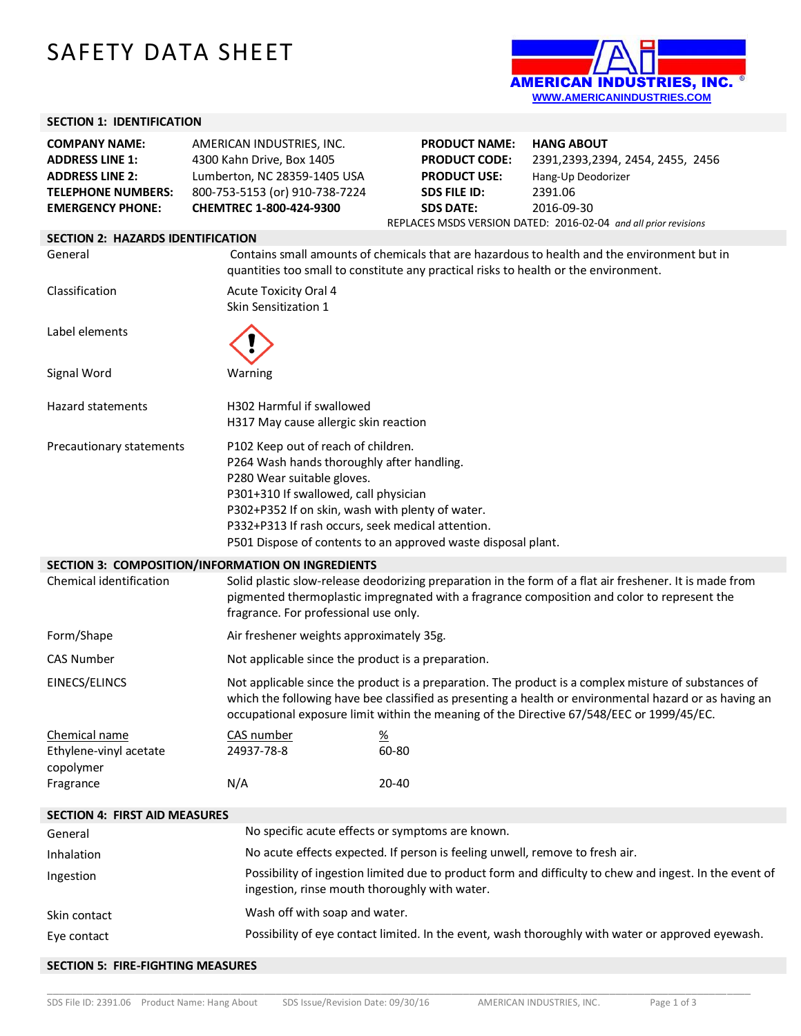## SAFETY DATA SHEET



## **SECTION 1: IDENTIFICATION**

| <b>COMPANY NAME:</b><br><b>ADDRESS LINE 1:</b><br><b>ADDRESS LINE 2:</b><br><b>TELEPHONE NUMBERS:</b><br><b>EMERGENCY PHONE:</b> | AMERICAN INDUSTRIES, INC.<br>4300 Kahn Drive, Box 1405<br>Lumberton, NC 28359-1405 USA<br>800-753-5153 (or) 910-738-7224<br>CHEMTREC 1-800-424-9300                                                                                                               | <b>PRODUCT NAME:</b><br><b>PRODUCT CODE:</b><br><b>PRODUCT USE:</b><br><b>SDS FILE ID:</b><br><b>SDS DATE:</b> | <b>HANG ABOUT</b><br>2391, 2393, 2394, 2454, 2455, 2456<br>Hang-Up Deodorizer<br>2391.06<br>2016-09-30<br>REPLACES MSDS VERSION DATED: 2016-02-04 and all prior revisions                                                                                                                                   |
|----------------------------------------------------------------------------------------------------------------------------------|-------------------------------------------------------------------------------------------------------------------------------------------------------------------------------------------------------------------------------------------------------------------|----------------------------------------------------------------------------------------------------------------|-------------------------------------------------------------------------------------------------------------------------------------------------------------------------------------------------------------------------------------------------------------------------------------------------------------|
| <b>SECTION 2: HAZARDS IDENTIFICATION</b>                                                                                         |                                                                                                                                                                                                                                                                   |                                                                                                                |                                                                                                                                                                                                                                                                                                             |
| General                                                                                                                          | Contains small amounts of chemicals that are hazardous to health and the environment but in<br>quantities too small to constitute any practical risks to health or the environment.                                                                               |                                                                                                                |                                                                                                                                                                                                                                                                                                             |
| Classification                                                                                                                   | <b>Acute Toxicity Oral 4</b><br>Skin Sensitization 1                                                                                                                                                                                                              |                                                                                                                |                                                                                                                                                                                                                                                                                                             |
| Label elements                                                                                                                   |                                                                                                                                                                                                                                                                   |                                                                                                                |                                                                                                                                                                                                                                                                                                             |
| Signal Word                                                                                                                      | Warning                                                                                                                                                                                                                                                           |                                                                                                                |                                                                                                                                                                                                                                                                                                             |
| <b>Hazard statements</b>                                                                                                         | H302 Harmful if swallowed<br>H317 May cause allergic skin reaction                                                                                                                                                                                                |                                                                                                                |                                                                                                                                                                                                                                                                                                             |
| Precautionary statements                                                                                                         | P102 Keep out of reach of children.<br>P264 Wash hands thoroughly after handling.<br>P280 Wear suitable gloves.<br>P301+310 If swallowed, call physician<br>P302+P352 If on skin, wash with plenty of water.<br>P332+P313 If rash occurs, seek medical attention. | P501 Dispose of contents to an approved waste disposal plant.                                                  |                                                                                                                                                                                                                                                                                                             |
|                                                                                                                                  | SECTION 3: COMPOSITION/INFORMATION ON INGREDIENTS                                                                                                                                                                                                                 |                                                                                                                |                                                                                                                                                                                                                                                                                                             |
| Chemical identification                                                                                                          | fragrance. For professional use only.                                                                                                                                                                                                                             |                                                                                                                | Solid plastic slow-release deodorizing preparation in the form of a flat air freshener. It is made from<br>pigmented thermoplastic impregnated with a fragrance composition and color to represent the                                                                                                      |
| Form/Shape                                                                                                                       | Air freshener weights approximately 35g.                                                                                                                                                                                                                          |                                                                                                                |                                                                                                                                                                                                                                                                                                             |
| <b>CAS Number</b>                                                                                                                | Not applicable since the product is a preparation.                                                                                                                                                                                                                |                                                                                                                |                                                                                                                                                                                                                                                                                                             |
| EINECS/ELINCS                                                                                                                    |                                                                                                                                                                                                                                                                   |                                                                                                                | Not applicable since the product is a preparation. The product is a complex misture of substances of<br>which the following have bee classified as presenting a health or environmental hazard or as having an<br>occupational exposure limit within the meaning of the Directive 67/548/EEC or 1999/45/EC. |
| Chemical name<br>Ethylene-vinyl acetate<br>copolymer                                                                             | CAS number<br>24937-78-8                                                                                                                                                                                                                                          | <u>%</u><br>60-80                                                                                              |                                                                                                                                                                                                                                                                                                             |
| Fragrance                                                                                                                        | N/A                                                                                                                                                                                                                                                               | 20-40                                                                                                          |                                                                                                                                                                                                                                                                                                             |
| <b>SECTION 4: FIRST AID MEASURES</b>                                                                                             |                                                                                                                                                                                                                                                                   |                                                                                                                |                                                                                                                                                                                                                                                                                                             |
| General                                                                                                                          |                                                                                                                                                                                                                                                                   | No specific acute effects or symptoms are known.                                                               |                                                                                                                                                                                                                                                                                                             |
| Inhalation                                                                                                                       |                                                                                                                                                                                                                                                                   | No acute effects expected. If person is feeling unwell, remove to fresh air.                                   |                                                                                                                                                                                                                                                                                                             |
| Ingestion                                                                                                                        |                                                                                                                                                                                                                                                                   | ingestion, rinse mouth thoroughly with water.                                                                  | Possibility of ingestion limited due to product form and difficulty to chew and ingest. In the event of                                                                                                                                                                                                     |
| Skin contact                                                                                                                     | Wash off with soap and water.                                                                                                                                                                                                                                     |                                                                                                                |                                                                                                                                                                                                                                                                                                             |
| Eye contact                                                                                                                      |                                                                                                                                                                                                                                                                   |                                                                                                                | Possibility of eye contact limited. In the event, wash thoroughly with water or approved eyewash.                                                                                                                                                                                                           |
| <b>SECTION 5: FIRE-FIGHTING MEASURES</b>                                                                                         |                                                                                                                                                                                                                                                                   |                                                                                                                |                                                                                                                                                                                                                                                                                                             |

\_\_\_\_\_\_\_\_\_\_\_\_\_\_\_\_\_\_\_\_\_\_\_\_\_\_\_\_\_\_\_\_\_\_\_\_\_\_\_\_\_\_\_\_\_\_\_\_\_\_\_\_\_\_\_\_\_\_\_\_\_\_\_\_\_\_\_\_\_\_\_\_\_\_\_\_\_\_\_\_\_\_\_\_\_\_\_\_\_\_\_\_\_\_\_\_\_\_\_\_\_\_\_\_\_\_\_\_\_\_\_\_\_\_\_\_\_\_\_\_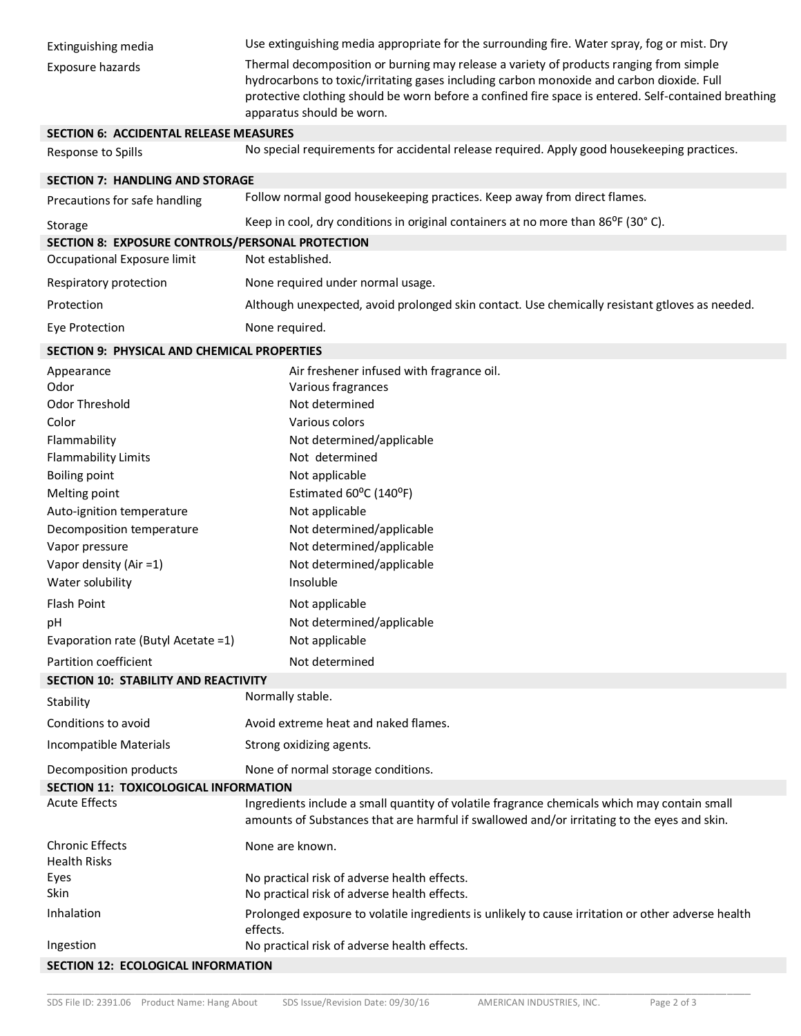| Extinguishing media                              | Use extinguishing media appropriate for the surrounding fire. Water spray, fog or mist. Dry                                                                                                                                                                                                                              |  |  |
|--------------------------------------------------|--------------------------------------------------------------------------------------------------------------------------------------------------------------------------------------------------------------------------------------------------------------------------------------------------------------------------|--|--|
| Exposure hazards                                 | Thermal decomposition or burning may release a variety of products ranging from simple<br>hydrocarbons to toxic/irritating gases including carbon monoxide and carbon dioxide. Full<br>protective clothing should be worn before a confined fire space is entered. Self-contained breathing<br>apparatus should be worn. |  |  |
| <b>SECTION 6: ACCIDENTAL RELEASE MEASURES</b>    |                                                                                                                                                                                                                                                                                                                          |  |  |
| Response to Spills                               | No special requirements for accidental release required. Apply good housekeeping practices.                                                                                                                                                                                                                              |  |  |
| <b>SECTION 7: HANDLING AND STORAGE</b>           |                                                                                                                                                                                                                                                                                                                          |  |  |
| Precautions for safe handling                    | Follow normal good housekeeping practices. Keep away from direct flames.                                                                                                                                                                                                                                                 |  |  |
| Storage                                          | Keep in cool, dry conditions in original containers at no more than $86^{\circ}$ F (30° C).                                                                                                                                                                                                                              |  |  |
| SECTION 8: EXPOSURE CONTROLS/PERSONAL PROTECTION |                                                                                                                                                                                                                                                                                                                          |  |  |
| Occupational Exposure limit                      | Not established.                                                                                                                                                                                                                                                                                                         |  |  |
| Respiratory protection                           | None required under normal usage.                                                                                                                                                                                                                                                                                        |  |  |
| Protection                                       | Although unexpected, avoid prolonged skin contact. Use chemically resistant gtloves as needed.                                                                                                                                                                                                                           |  |  |
| Eye Protection                                   | None required.                                                                                                                                                                                                                                                                                                           |  |  |
| SECTION 9: PHYSICAL AND CHEMICAL PROPERTIES      |                                                                                                                                                                                                                                                                                                                          |  |  |
| Appearance<br>Odor                               | Air freshener infused with fragrance oil.<br>Various fragrances                                                                                                                                                                                                                                                          |  |  |
| Odor Threshold                                   | Not determined                                                                                                                                                                                                                                                                                                           |  |  |
| Color                                            | Various colors                                                                                                                                                                                                                                                                                                           |  |  |
| Flammability                                     | Not determined/applicable                                                                                                                                                                                                                                                                                                |  |  |
| <b>Flammability Limits</b>                       | Not determined                                                                                                                                                                                                                                                                                                           |  |  |
| <b>Boiling point</b>                             | Not applicable                                                                                                                                                                                                                                                                                                           |  |  |
| Melting point                                    | Estimated 60°C (140°F)                                                                                                                                                                                                                                                                                                   |  |  |
| Auto-ignition temperature                        | Not applicable                                                                                                                                                                                                                                                                                                           |  |  |
| Decomposition temperature                        | Not determined/applicable                                                                                                                                                                                                                                                                                                |  |  |
| Vapor pressure                                   | Not determined/applicable                                                                                                                                                                                                                                                                                                |  |  |
| Vapor density (Air =1)                           | Not determined/applicable                                                                                                                                                                                                                                                                                                |  |  |
| Water solubility                                 | Insoluble                                                                                                                                                                                                                                                                                                                |  |  |
| Flash Point                                      | Not applicable                                                                                                                                                                                                                                                                                                           |  |  |
| pH                                               | Not determined/applicable                                                                                                                                                                                                                                                                                                |  |  |
| Evaporation rate (Butyl Acetate = 1)             | Not applicable                                                                                                                                                                                                                                                                                                           |  |  |
| Partition coefficient                            | Not determined                                                                                                                                                                                                                                                                                                           |  |  |
| SECTION 10: STABILITY AND REACTIVITY             |                                                                                                                                                                                                                                                                                                                          |  |  |
| Stability                                        | Normally stable.                                                                                                                                                                                                                                                                                                         |  |  |
| Conditions to avoid                              | Avoid extreme heat and naked flames.                                                                                                                                                                                                                                                                                     |  |  |
| Incompatible Materials                           | Strong oxidizing agents.                                                                                                                                                                                                                                                                                                 |  |  |
| Decomposition products                           | None of normal storage conditions.                                                                                                                                                                                                                                                                                       |  |  |
| SECTION 11: TOXICOLOGICAL INFORMATION            |                                                                                                                                                                                                                                                                                                                          |  |  |
| <b>Acute Effects</b>                             | Ingredients include a small quantity of volatile fragrance chemicals which may contain small<br>amounts of Substances that are harmful if swallowed and/or irritating to the eyes and skin.                                                                                                                              |  |  |
| <b>Chronic Effects</b><br><b>Health Risks</b>    | None are known.                                                                                                                                                                                                                                                                                                          |  |  |
| Eyes<br>Skin                                     | No practical risk of adverse health effects.<br>No practical risk of adverse health effects.                                                                                                                                                                                                                             |  |  |
| Inhalation                                       | Prolonged exposure to volatile ingredients is unlikely to cause irritation or other adverse health<br>effects.                                                                                                                                                                                                           |  |  |
| Ingestion                                        | No practical risk of adverse health effects.                                                                                                                                                                                                                                                                             |  |  |
| SECTION 12: ECOLOGICAL INFORMATION               |                                                                                                                                                                                                                                                                                                                          |  |  |